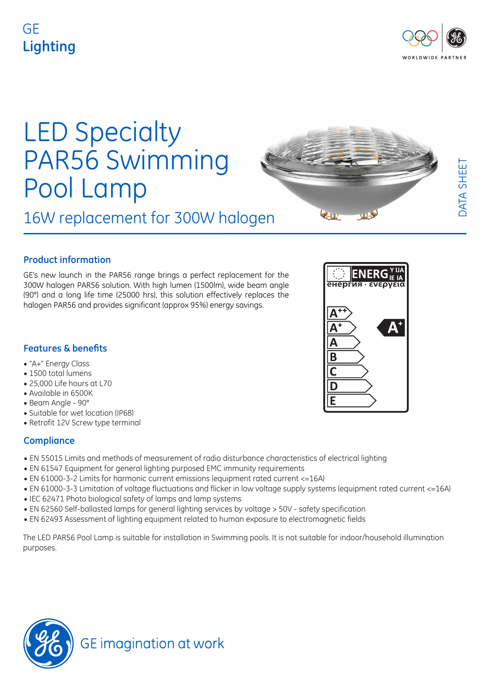# GE **Lighting**



DATA SHEET

DATA SHEET

# LED Specialty PAR56 Swimming Pool Lamp

16W replacement for 300W halogen

**Product information** 

GE's new launch in the PAR56 range brings a perfect replacement for the 300W halogen PAR56 solution. With high lumen (1500lm), wide beam angle (90°) and a long life time (25000 hrs), this solution effectively replaces the halogen PAR56 and provides significant (approx 95%) energy savings.

# **Features & benefits**

- "A+" Energy Class
- 1500 total lumens
- 25,000 Life hours at L70
- Available in 6500K
- Beam Angle 90°
- Suitable for wet location (IP68)
- Retrofit 12V Screw type terminal

## **Compliance**

- EN 55015 Limits and methods of measurement of radio disturbance characteristics of electrical lighting
- EN 61547 Equipment for general lighting purposed EMC immunity requirements
- EN 61000-3-2 Limits for harmonic current emissions (equipment rated current <=16A)
- EN 61000-3-3 Limitation of voltage fluctuations and flicker in low voltage supply systems (equipment rated current <=16A)
- IEC 62471 Photo biological safety of lamps and lamp systems
- EN 62560 Self-ballasted lamps for general lighting services by voltage > 50V safety specification
- EN 62493 Assessment of lighting equipment related to human exposure to electromagnetic fields

The LED PAR56 Pool Lamp is suitable for installation in Swimming pools. It is not suitable for indoor/household illumination purposes.